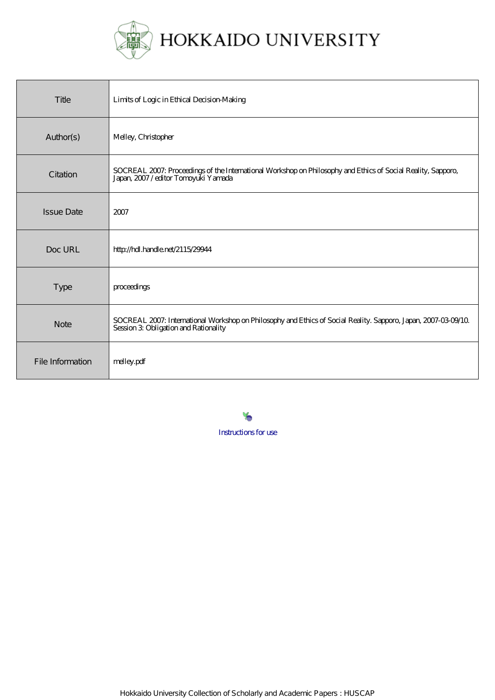

| Title             | Limits of Logic in Ethical Decision-Making                                                                                                             |
|-------------------|--------------------------------------------------------------------------------------------------------------------------------------------------------|
| Author(s)         | Melley, Christopher                                                                                                                                    |
| Citation          | SOCREAL 2007: Proceedings of the International Workshop on Philosophy and Ethics of Social Reality, Sapporo,<br>Japan, 2007/editor Tomoyuki Yamada     |
| <b>Issue Date</b> | 2007                                                                                                                                                   |
| Doc URL           | http://hdl.handle.net/2115/29944                                                                                                                       |
| <b>Type</b>       | proceedings                                                                                                                                            |
| <b>Note</b>       | SOCREAL 2007: International Workshop on Philosophy and Ethics of Social Reality. Sapporo, Japan, 2007-03-09/10<br>Session 3 Obligation and Rationality |
| File Information  | melley.pdf                                                                                                                                             |

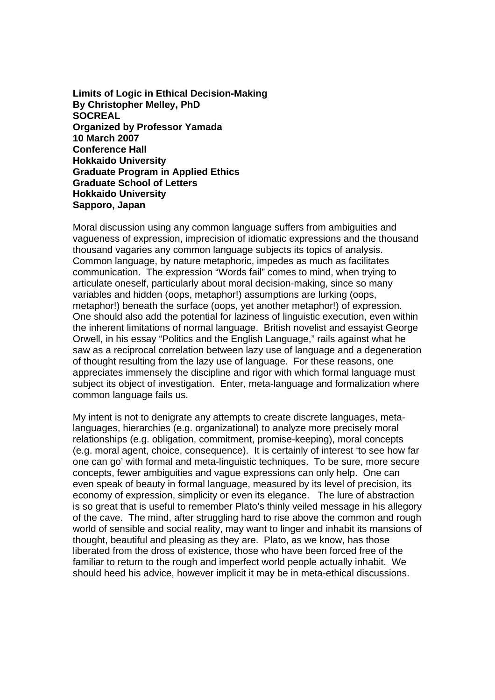**Limits of Logic in Ethical Decision-Making By Christopher Melley, PhD SOCREAL Organized by Professor Yamada 10 March 2007 Conference Hall Hokkaido University Graduate Program in Applied Ethics Graduate School of Letters Hokkaido University Sapporo, Japan** 

Moral discussion using any common language suffers from ambiguities and vagueness of expression, imprecision of idiomatic expressions and the thousand thousand vagaries any common language subjects its topics of analysis. Common language, by nature metaphoric, impedes as much as facilitates communication. The expression "Words fail" comes to mind, when trying to articulate oneself, particularly about moral decision-making, since so many variables and hidden (oops, metaphor!) assumptions are lurking (oops, metaphor!) beneath the surface (oops, yet another metaphor!) of expression. One should also add the potential for laziness of linguistic execution, even within the inherent limitations of normal language. British novelist and essayist George Orwell, in his essay "Politics and the English Language," rails against what he saw as a reciprocal correlation between lazy use of language and a degeneration of thought resulting from the lazy use of language. For these reasons, one appreciates immensely the discipline and rigor with which formal language must subject its object of investigation. Enter, meta-language and formalization where common language fails us.

My intent is not to denigrate any attempts to create discrete languages, metalanguages, hierarchies (e.g. organizational) to analyze more precisely moral relationships (e.g. obligation, commitment, promise-keeping), moral concepts (e.g. moral agent, choice, consequence). It is certainly of interest 'to see how far one can go' with formal and meta-linguistic techniques. To be sure, more secure concepts, fewer ambiguities and vague expressions can only help. One can even speak of beauty in formal language, measured by its level of precision, its economy of expression, simplicity or even its elegance. The lure of abstraction is so great that is useful to remember Plato's thinly veiled message in his allegory of the cave. The mind, after struggling hard to rise above the common and rough world of sensible and social reality, may want to linger and inhabit its mansions of thought, beautiful and pleasing as they are. Plato, as we know, has those liberated from the dross of existence, those who have been forced free of the familiar to return to the rough and imperfect world people actually inhabit. We should heed his advice, however implicit it may be in meta-ethical discussions.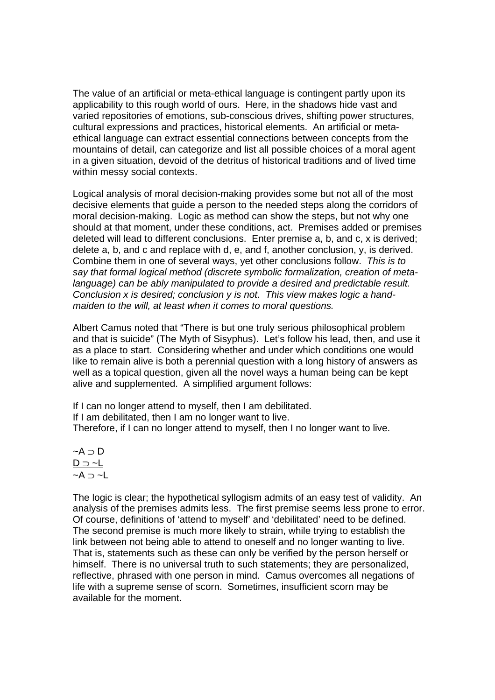The value of an artificial or meta-ethical language is contingent partly upon its applicability to this rough world of ours. Here, in the shadows hide vast and varied repositories of emotions, sub-conscious drives, shifting power structures, cultural expressions and practices, historical elements. An artificial or metaethical language can extract essential connections between concepts from the mountains of detail, can categorize and list all possible choices of a moral agent in a given situation, devoid of the detritus of historical traditions and of lived time within messy social contexts.

Logical analysis of moral decision-making provides some but not all of the most decisive elements that guide a person to the needed steps along the corridors of moral decision-making. Logic as method can show the steps, but not why one should at that moment, under these conditions, act. Premises added or premises deleted will lead to different conclusions. Enter premise a, b, and c, x is derived; delete a, b, and c and replace with d, e, and f, another conclusion, y, is derived. Combine them in one of several ways, yet other conclusions follow. *This is to say that formal logical method (discrete symbolic formalization, creation of metalanguage) can be ably manipulated to provide a desired and predictable result. Conclusion x is desired; conclusion y is not. This view makes logic a handmaiden to the will, at least when it comes to moral questions.*

Albert Camus noted that "There is but one truly serious philosophical problem and that is suicide" (The Myth of Sisyphus). Let's follow his lead, then, and use it as a place to start. Considering whether and under which conditions one would like to remain alive is both a perennial question with a long history of answers as well as a topical question, given all the novel ways a human being can be kept alive and supplemented. A simplified argument follows:

If I can no longer attend to myself, then I am debilitated. If I am debilitated, then I am no longer want to live. Therefore, if I can no longer attend to myself, then I no longer want to live.

$$
\neg A \supset D
$$
  

$$
\underline{D \supset \neg L}
$$
  

$$
\neg A \supset \neg L
$$

The logic is clear; the hypothetical syllogism admits of an easy test of validity. An analysis of the premises admits less. The first premise seems less prone to error. Of course, definitions of 'attend to myself' and 'debilitated' need to be defined. The second premise is much more likely to strain, while trying to establish the link between not being able to attend to oneself and no longer wanting to live. That is, statements such as these can only be verified by the person herself or himself. There is no universal truth to such statements; they are personalized, reflective, phrased with one person in mind. Camus overcomes all negations of life with a supreme sense of scorn. Sometimes, insufficient scorn may be available for the moment.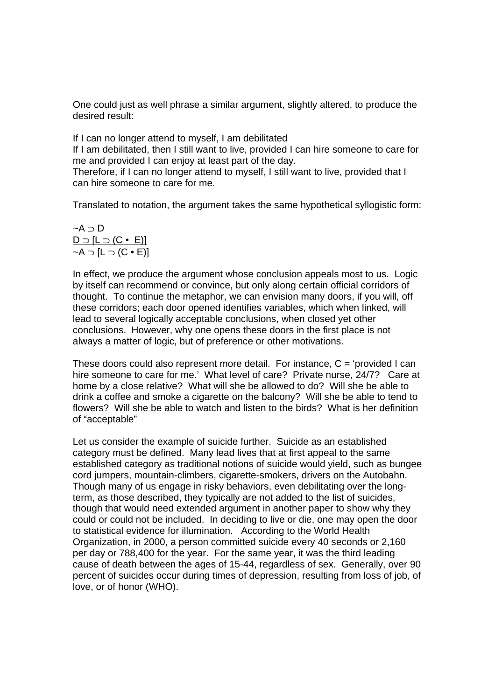One could just as well phrase a similar argument, slightly altered, to produce the desired result:

If I can no longer attend to myself, I am debilitated

If I am debilitated, then I still want to live, provided I can hire someone to care for me and provided I can enjoy at least part of the day.

Therefore, if I can no longer attend to myself, I still want to live, provided that I can hire someone to care for me.

Translated to notation, the argument takes the same hypothetical syllogistic form:

$$
\neg A \supset D
$$
  

$$
\underline{D \supset [L \supset (C \bullet E)]}
$$
  

$$
\neg A \supset [L \supset (C \bullet E)]
$$

In effect, we produce the argument whose conclusion appeals most to us. Logic by itself can recommend or convince, but only along certain official corridors of thought. To continue the metaphor, we can envision many doors, if you will, off these corridors; each door opened identifies variables, which when linked, will lead to several logically acceptable conclusions, when closed yet other conclusions. However, why one opens these doors in the first place is not always a matter of logic, but of preference or other motivations.

These doors could also represent more detail. For instance,  $C =$  'provided I can hire someone to care for me.' What level of care? Private nurse, 24/7? Care at home by a close relative? What will she be allowed to do? Will she be able to drink a coffee and smoke a cigarette on the balcony? Will she be able to tend to flowers? Will she be able to watch and listen to the birds? What is her definition of "acceptable"

Let us consider the example of suicide further. Suicide as an established category must be defined. Many lead lives that at first appeal to the same established category as traditional notions of suicide would yield, such as bungee cord jumpers, mountain-climbers, cigarette-smokers, drivers on the Autobahn. Though many of us engage in risky behaviors, even debilitating over the longterm, as those described, they typically are not added to the list of suicides, though that would need extended argument in another paper to show why they could or could not be included. In deciding to live or die, one may open the door to statistical evidence for illumination. According to the World Health Organization, in 2000, a person committed suicide every 40 seconds or 2,160 per day or 788,400 for the year. For the same year, it was the third leading cause of death between the ages of 15-44, regardless of sex. Generally, over 90 percent of suicides occur during times of depression, resulting from loss of job, of love, or of honor (WHO).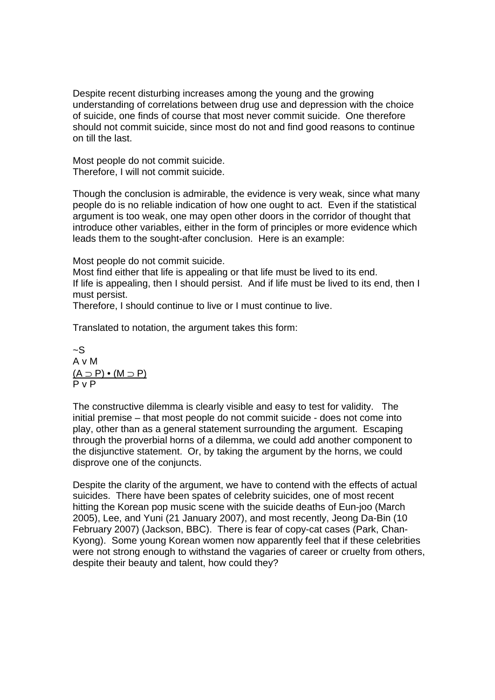Despite recent disturbing increases among the young and the growing understanding of correlations between drug use and depression with the choice of suicide, one finds of course that most never commit suicide. One therefore should not commit suicide, since most do not and find good reasons to continue on till the last.

Most people do not commit suicide. Therefore, I will not commit suicide.

Though the conclusion is admirable, the evidence is very weak, since what many people do is no reliable indication of how one ought to act. Even if the statistical argument is too weak, one may open other doors in the corridor of thought that introduce other variables, either in the form of principles or more evidence which leads them to the sought-after conclusion. Here is an example:

Most people do not commit suicide.

Most find either that life is appealing or that life must be lived to its end. If life is appealing, then I should persist. And if life must be lived to its end, then I must persist.

Therefore, I should continue to live or I must continue to live.

Translated to notation, the argument takes this form:

 $-S$ A v M  $(A \supset P) \bullet (M \supset P)$ P v P

The constructive dilemma is clearly visible and easy to test for validity. The initial premise – that most people do not commit suicide - does not come into play, other than as a general statement surrounding the argument. Escaping through the proverbial horns of a dilemma, we could add another component to the disjunctive statement. Or, by taking the argument by the horns, we could disprove one of the conjuncts.

Despite the clarity of the argument, we have to contend with the effects of actual suicides. There have been spates of celebrity suicides, one of most recent hitting the Korean pop music scene with the suicide deaths of Eun-joo (March 2005), Lee, and Yuni (21 January 2007), and most recently, Jeong Da-Bin (10 February 2007) (Jackson, BBC). There is fear of copy-cat cases (Park, Chan-Kyong). Some young Korean women now apparently feel that if these celebrities were not strong enough to withstand the vagaries of career or cruelty from others, despite their beauty and talent, how could they?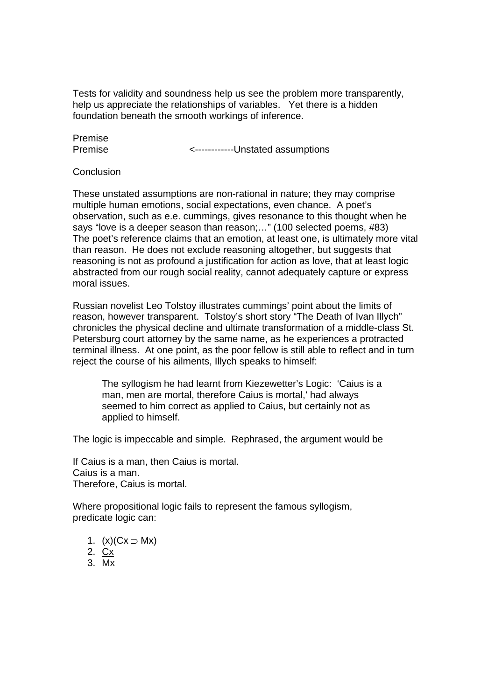Tests for validity and soundness help us see the problem more transparently, help us appreciate the relationships of variables. Yet there is a hidden foundation beneath the smooth workings of inference.

Premise

Premise **Example 2** -------------Unstated assumptions

**Conclusion** 

These unstated assumptions are non-rational in nature; they may comprise multiple human emotions, social expectations, even chance. A poet's observation, such as e.e. cummings, gives resonance to this thought when he says "love is a deeper season than reason;…" (100 selected poems, #83) The poet's reference claims that an emotion, at least one, is ultimately more vital than reason. He does not exclude reasoning altogether, but suggests that reasoning is not as profound a justification for action as love, that at least logic abstracted from our rough social reality, cannot adequately capture or express moral issues.

Russian novelist Leo Tolstoy illustrates cummings' point about the limits of reason, however transparent. Tolstoy's short story "The Death of Ivan Illych" chronicles the physical decline and ultimate transformation of a middle-class St. Petersburg court attorney by the same name, as he experiences a protracted terminal illness. At one point, as the poor fellow is still able to reflect and in turn reject the course of his ailments, Illych speaks to himself:

The syllogism he had learnt from Kiezewetter's Logic: 'Caius is a man, men are mortal, therefore Caius is mortal,' had always seemed to him correct as applied to Caius, but certainly not as applied to himself.

The logic is impeccable and simple. Rephrased, the argument would be

If Caius is a man, then Caius is mortal. Caius is a man. Therefore, Caius is mortal.

Where propositional logic fails to represent the famous syllogism, predicate logic can:

- 1.  $(x)(Cx ⊃ Mx)$
- 2. Cx
- 3. Mx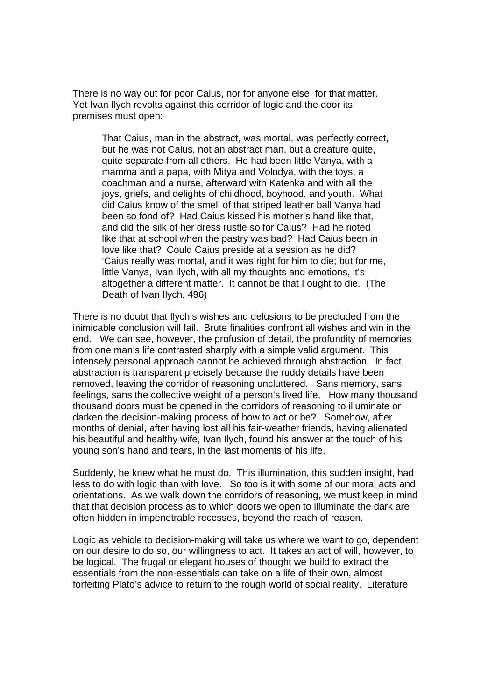There is no way out for poor Caius, nor for anyone else, for that matter. Yet Ivan Ilych revolts against this corridor of logic and the door its premises must open:

That Caius, man in the abstract, was mortal, was perfectly correct, but he was not Caius, not an abstract man, but a creature quite, quite separate from all others. He had been little Vanya, with a mamma and a papa, with Mitya and Volodya, with the toys, a coachman and a nurse, afterward with Katenka and with all the joys, griefs, and delights of childhood, boyhood, and youth. What did Caius know of the smell of that striped leather ball Vanya had been so fond of? Had Caius kissed his mother's hand like that, and did the silk of her dress rustle so for Caius? Had he rioted like that at school when the pastry was bad? Had Caius been in love like that? Could Caius preside at a session as he did? 'Caius really was mortal, and it was right for him to die; but for me, little Vanya, Ivan Ilych, with all my thoughts and emotions, it's altogether a different matter. It cannot be that I ought to die. (The Death of Ivan Ilych, 496)

There is no doubt that Ilych's wishes and delusions to be precluded from the inimicable conclusion will fail. Brute finalities confront all wishes and win in the end. We can see, however, the profusion of detail, the profundity of memories from one man's life contrasted sharply with a simple valid argument. This intensely personal approach cannot be achieved through abstraction. In fact, abstraction is transparent precisely because the ruddy details have been removed, leaving the corridor of reasoning uncluttered. Sans memory, sans feelings, sans the collective weight of a person's lived life, How many thousand thousand doors must be opened in the corridors of reasoning to illuminate or darken the decision-making process of how to act or be? Somehow, after months of denial, after having lost all his fair-weather friends, having alienated his beautiful and healthy wife, Ivan Ilych, found his answer at the touch of his young son's hand and tears, in the last moments of his life.

Suddenly, he knew what he must do. This illumination, this sudden insight, had less to do with logic than with love. So too is it with some of our moral acts and orientations. As we walk down the corridors of reasoning, we must keep in mind that that decision process as to which doors we open to illuminate the dark are often hidden in impenetrable recesses, beyond the reach of reason.

Logic as vehicle to decision-making will take us where we want to go, dependent on our desire to do so, our willingness to act. It takes an act of will, however, to be logical. The frugal or elegant houses of thought we build to extract the essentials from the non-essentials can take on a life of their own, almost forfeiting Plato's advice to return to the rough world of social reality. Literature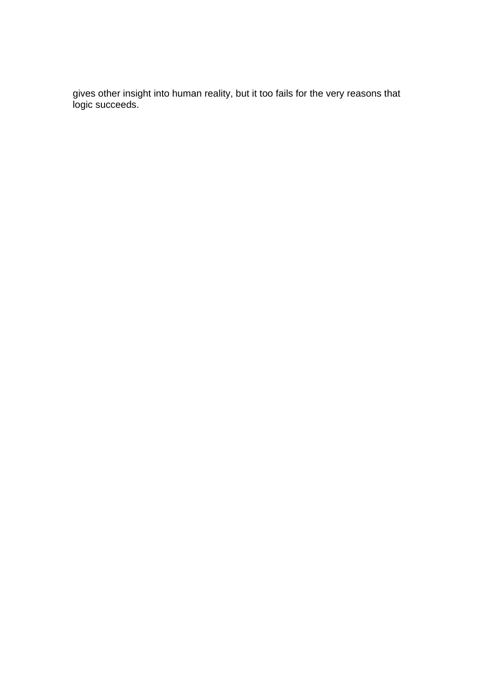gives other insight into human reality, but it too fails for the very reasons that logic succeeds.